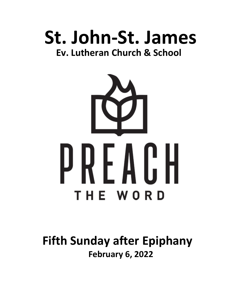# **St. John-St. James Ev. Lutheran Church & School**



**Fifth Sunday after Epiphany February 6, 2022**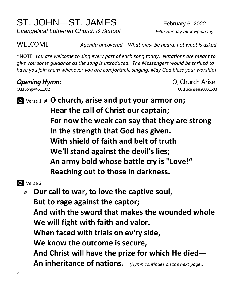# ST. JOHN—ST. JAMES February 6, 2022 *Evangelical Lutheran Church & School Fifth Sunday after Epiphany*

WELCOME *Agenda uncovered—What must be heard, not what is asked*

\*NOTE: *You are welcome to sing every part of each song today. Notations are meant to give you some guidance as the song is introduced. The Messengers would be thrilled to have you join them whenever you are comfortable singing. May God bless your worship!*

### **Opening Hymn: O**, Church Arise

CCLI Song #4611992 CCLI License #20031593

 Verse 1 **O church, arise and put your armor on; Hear the call of Christ our captain; For now the weak can say that they are strong In the strength that God has given. With shield of faith and belt of truth We'll stand against the devil's lies; An army bold whose battle cry is "Love!" Reaching out to those in darkness.**

#### **C** Verse 2

 **Our call to war, to love the captive soul, But to rage against the captor; And with the sword that makes the wounded whole We will fight with faith and valor. When faced with trials on ev'ry side, We know the outcome is secure, And Christ will have the prize for which He died— An inheritance of nations.** *(Hymn continues on the next page.)*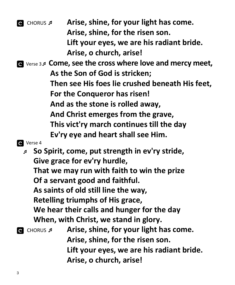

 CHORUS  **Arise, shine, for your light has come. Arise, shine, for the risen son. Lift your eyes, we are his radiant bride. Arise, o church, arise!**

 Verse 3 **Come, see the cross where love and mercy meet, As the Son of God is stricken; Then see His foes lie crushed beneath His feet, For the Conqueror has risen! And as the stone is rolled away, And Christ emerges from the grave, This vict'ry march continues till the day Ev'ry eye and heart shall see Him.**

**C** Verse 4

 **So Spirit, come, put strength in ev'ry stride, Give grace for ev'ry hurdle, That we may run with faith to win the prize Of a servant good and faithful. As saints of old still line the way, Retelling triumphs of His grace, We hear their calls and hunger for the day When, with Christ, we stand in glory.** CHORUS  **Arise, shine, for your light has come. Arise, shine, for the risen son.**

**Lift your eyes, we are his radiant bride. Arise, o church, arise!**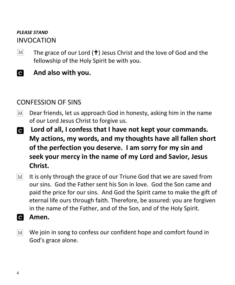#### *PLEASE STAND* INVOCATION

- $|M|$ The grace of our Lord  $(\dagger)$  Jesus Christ and the love of God and the fellowship of the Holy Spirit be with you.
- $\overline{c}$ **And also with you.**

#### CONFESSION OF SINS

- $\lceil \text{M} \rceil$ Dear friends, let us approach God in honesty, asking him in the name of our Lord Jesus Christ to forgive us.
- **Lord of all, I confess that I have not kept your commands. My actions, my words, and my thoughts have all fallen short of the perfection you deserve. I am sorry for my sin and seek your mercy in the name of my Lord and Savior, Jesus Christ.**
- It is only through the grace of our Triune God that we are saved from  $M<sub>l</sub>$ our sins. God the Father sent his Son in love. God the Son came and paid the price for our sins. And God the Spirit came to make the gift of eternal life ours through faith. Therefore, be assured: you are forgiven in the name of the Father, and of the Son, and of the Holy Spirit.
- **a Amen.**
- We join in song to confess our confident hope and comfort found in  $\lceil \text{M} \rceil$ God's grace alone.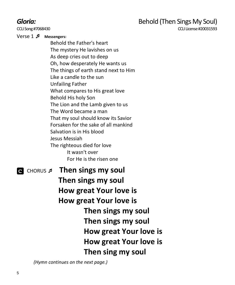# *Gloria:* Behold (Then Sings My Soul)

CCLI Song #7068430 CCLI License #20031593

Verse 1  **Messengers:** 

Behold the Father's heart The mystery He lavishes on us As deep cries out to deep Oh, how desperately He wants us The things of earth stand next to Him Like a candle to the sun Unfailing Father What compares to His great love Behold His holy Son The Lion and the Lamb given to us The Word became a man That my soul should know its Savior Forsaken for the sake of all mankind Salvation is in His blood Jesus Messiah The righteous died for love It wasn't over For He is the risen one

**Q** CHORUS *f* **Then sings my soul Then sings my soul How great Your love is How great Your love is Then sings my soul Then sings my soul How great Your love is How great Your love is Then sing my soul**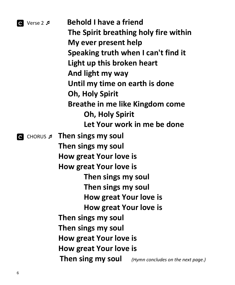|  | Verse 2 $\sqrt{2}$     | <b>Behold I have a friend</b>               |                                       |  |  |
|--|------------------------|---------------------------------------------|---------------------------------------|--|--|
|  |                        |                                             | The Spirit breathing holy fire within |  |  |
|  |                        | My ever present help                        |                                       |  |  |
|  |                        | Speaking truth when I can't find it         |                                       |  |  |
|  |                        | Light up this broken heart                  |                                       |  |  |
|  |                        | And light my way                            |                                       |  |  |
|  |                        | Until my time on earth is done              |                                       |  |  |
|  |                        | <b>Oh, Holy Spirit</b>                      |                                       |  |  |
|  |                        | Breathe in me like Kingdom come             |                                       |  |  |
|  |                        | <b>Oh, Holy Spirit</b>                      |                                       |  |  |
|  |                        |                                             | Let Your work in me be done           |  |  |
|  |                        | <b>C</b> CHORUS <b>5</b> Then sings my soul |                                       |  |  |
|  |                        | Then sings my soul                          |                                       |  |  |
|  |                        | How great Your love is                      |                                       |  |  |
|  | How great Your love is |                                             |                                       |  |  |
|  |                        | Then sings my soul                          |                                       |  |  |
|  |                        | Then sings my soul                          |                                       |  |  |
|  |                        | How great Your love is                      |                                       |  |  |
|  |                        | How great Your love is                      |                                       |  |  |
|  |                        | Then sings my soul                          |                                       |  |  |
|  |                        | Then sings my soul                          |                                       |  |  |
|  |                        | How great Your love is                      |                                       |  |  |
|  |                        | How great Your love is                      |                                       |  |  |
|  |                        | Then sing my soul                           | (Hymn concludes on the next page.)    |  |  |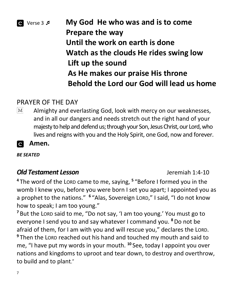# Verse <sup>3</sup>  **My God He who was and is to come Prepare the way Until the work on earth is done Watch as the clouds He rides swing low Lift up the sound As He makes our praise His throne Behold the Lord our God will lead us home**

### PRAYER OF THE DAY

- $\mathbf{M}$ Almighty and everlasting God, look with mercy on our weaknesses, and in all our dangers and needs stretch out the right hand of your majesty to help and defend us; through your Son, Jesus Christ, our Lord, who lives and reigns with you and the Holy Spirit, one God, now and forever.
- **Amen.**

*BE SEATED*

#### *Old Testament Lesson* Jeremiah 1:4-10

**<sup>4</sup>** The word of the LORD came to me, saying, **<sup>5</sup>** "Before I formed you in the womb I knew you, before you were born I set you apart; I appointed you as a prophet to the nations." <sup>6</sup> "Alas, Sovereign Lorp," I said, "I do not know how to speak; I am too young."

**<sup>7</sup>** But the LORD said to me, "Do not say, 'I am too young.' You must go to everyone I send you to and say whatever I command you. **<sup>8</sup>**Do not be afraid of them, for I am with you and will rescue you," declares the LORD. **<sup>9</sup>** Then the LORD reached out his hand and touched my mouth and said to me, "I have put my words in your mouth. **<sup>10</sup>** See, today I appoint you over nations and kingdoms to uproot and tear down, to destroy and overthrow, to build and to plant."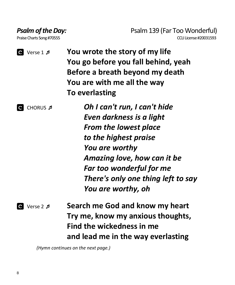**Psalm of the Day: Psalm 139 (Far Too Wonderful)** Praise Charts Song #70555 CCLI License #20031593

 Verse 1  **You wrote the story of my life You go before you fall behind, yeah Before a breath beyond my death You are with me all the way To everlasting** CHORUS *Oh I can't run, I can't hide Even darkness is a light From the lowest place to the highest praise You are worthy Amazing love, how can it be Far too wonderful for me There's only one thing left to say You are worthy, oh* Verse 2  **Search me God and know my heart Try me, know my anxious thoughts, Find the wickedness in me and lead me in the way everlasting**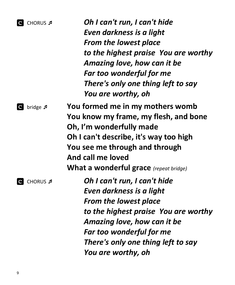| <b>C</b> CHORUS <b>P</b> | Oh I can't run, I can't hide           |
|--------------------------|----------------------------------------|
|                          | Even darkness is a light               |
|                          | <b>From the lowest place</b>           |
|                          | to the highest praise You are worthy   |
|                          | Amazing love, how can it be            |
|                          | <b>Far too wonderful for me</b>        |
|                          | There's only one thing left to say     |
|                          | You are worthy, oh                     |
| c bridge $\sqrt{2}$      | You formed me in my mothers womb       |
|                          | You know my frame, my flesh, and bone  |
|                          | Oh, I'm wonderfully made               |
|                          | Oh I can't describe, it's way too high |
|                          | You see me through and through         |
|                          | And call me loved                      |
|                          | What a wonderful grace (repeat bridge) |
| <b>C</b> CHORUS <b>P</b> | Oh I can't run, I can't hide           |
|                          | Even darkness is a light               |
|                          | <b>From the lowest place</b>           |
|                          | to the highest praise You are worthy   |
|                          | Amazing love, how can it be            |
|                          | <b>Far too wonderful for me</b>        |
|                          | There's only one thing left to say     |
|                          | You are worthy, oh                     |
|                          |                                        |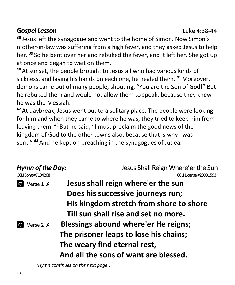### *Gospel Lesson* Luke 4:38-44

**<sup>38</sup>** Jesus left the synagogue and went to the home of Simon. Now Simon's mother-in-law was suffering from a high fever, and they asked Jesus to help her. **<sup>39</sup>** So he bent over her and rebuked the fever, and it left her. She got up at once and began to wait on them.

**<sup>40</sup>** At sunset, the people brought to Jesus all who had various kinds of sickness, and laying his hands on each one, he healed them. **<sup>41</sup>** Moreover, demons came out of many people, shouting, "You are the Son of God!" But he rebuked them and would not allow them to speak, because they knew he was the Messiah.

**<sup>42</sup>** At daybreak, Jesus went out to a solitary place. The people were looking for him and when they came to where he was, they tried to keep him from leaving them. **<sup>43</sup>** But he said, "I must proclaim the good news of the kingdom of God to the other towns also, because that is why I was sent." **<sup>44</sup>** And he kept on preaching in the synagogues of Judea.

**Hymn of the Day: Jesus Shall Reign Where'er the Sun** 

CCLI Song #7104268 CCLI License #20031593 Verse 1  **Jesus shall reign where'er the sun Does his successive journeys run; His kingdom stretch from shore to shore Till sun shall rise and set no more.** Verse 2  **Blessings abound where'er He reigns; The prisoner leaps to lose his chains; The weary find eternal rest,**

 **And all the sons of want are blessed.**

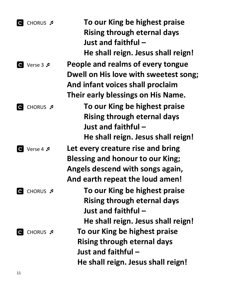|             | <b>C</b> CHORUS <b>P</b> | To our King be highest praise<br><b>Rising through eternal days</b>                                            |
|-------------|--------------------------|----------------------------------------------------------------------------------------------------------------|
|             |                          | Just and faithful -                                                                                            |
|             |                          | He shall reign. Jesus shall reign!                                                                             |
|             | $C$ Verse 3 $\sqrt{2}$   | People and realms of every tongue<br>Dwell on His love with sweetest song;<br>And infant voices shall proclaim |
|             |                          | Their early blessings on His Name.                                                                             |
|             | <b>C</b> CHORUS <b>P</b> | To our King be highest praise<br><b>Rising through eternal days</b><br>Just and faithful -                     |
|             |                          | He shall reign. Jesus shall reign!                                                                             |
|             | $\bullet$ Verse 4 $\AA$  | Let every creature rise and bring<br><b>Blessing and honour to our King;</b>                                   |
|             |                          | Angels descend with songs again,                                                                               |
|             |                          | And earth repeat the loud amen!                                                                                |
|             | CHORUS 5                 | To our King be highest praise<br><b>Rising through eternal days</b><br>Just and faithful -                     |
|             |                          | He shall reign. Jesus shall reign!                                                                             |
|             |                          |                                                                                                                |
| $\mathbf C$ | CHORUS <sub>5</sub>      | To our King be highest praise                                                                                  |
|             |                          | <b>Rising through eternal days</b>                                                                             |
|             |                          | Just and faithful -                                                                                            |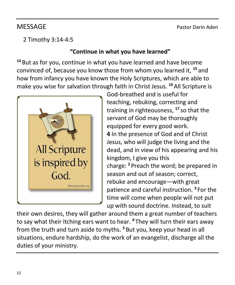#### 2 Timothy 3:14-4:5

#### **"Continue in what you have learned"**

**<sup>14</sup>** But as for you, continue in what you have learned and have become convinced of, because you know those from whom you learned it, **<sup>15</sup>** and how from infancy you have known the Holy Scriptures, which are able to make you wise for salvation through faith in Christ Jesus. **<sup>16</sup>** All Scripture is



God-breathed and is useful for teaching, rebuking, correcting and training in righteousness, **<sup>17</sup>** so that the servant of God may be thoroughly equipped for every good work. **4** In the presence of God and of Christ Jesus, who will judge the living and the dead, and in view of his appearing and his kingdom, I give you this charge: **<sup>2</sup>** Preach the word; be prepared in season and out of season; correct, rebuke and encourage—with great patience and careful instruction. **<sup>3</sup>** For the time will come when people will not put up with sound doctrine. Instead, to suit

their own desires, they will gather around them a great number of teachers to say what their itching ears want to hear. **<sup>4</sup>** They will turn their ears away from the truth and turn aside to myths. **<sup>5</sup>** But you, keep your head in all situations, endure hardship, do the work of an evangelist, discharge all the duties of your ministry.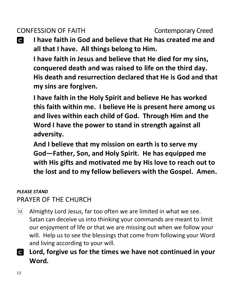#### CONFESSION OF FAITH CONFESSION CONTENTS

**I have faith in God and believe that He has created me and C all that I have. All things belong to Him.**

**I have faith in Jesus and believe that He died for my sins, conquered death and was raised to life on the third day. His death and resurrection declared that He is God and that my sins are forgiven.**

**I have faith in the Holy Spirit and believe He has worked this faith within me. I believe He is present here among us and lives within each child of God. Through Him and the Word I have the power to stand in strength against all adversity.**

**And I believe that my mission on earth is to serve my God—Father, Son, and Holy Spirit. He has equipped me with His gifts and motivated me by His love to reach out to the lost and to my fellow believers with the Gospel. Amen.**

#### *PLEASE STAND*

#### PRAYER OF THE CHURCH

- Almighty Lord Jesus, far too often we are limited in what we see.  $|M|$ Satan can deceive us into thinking your commands are meant to limit our enjoyment of life or that we are missing out when we follow your will. Help us to see the blessings that come from following your Word and living according to your will.
- **Lord, forgive us for the times we have not continued in your Word.**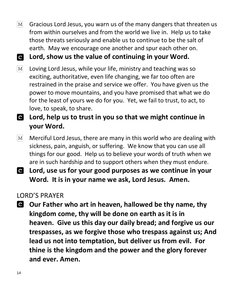$M<sup>2</sup>$ Gracious Lord Jesus, you warn us of the many dangers that threaten us from within ourselves and from the world we live in. Help us to take those threats seriously and enable us to continue to be the salt of earth. May we encourage one another and spur each other on.

**Lord, show us the value of continuing in your Word.**

- $|M|$ Loving Lord Jesus, while your life, ministry and teaching was so exciting, authoritative, even life changing, we far too often are restrained in the praise and service we offer. You have given us the power to move mountains, and you have promised that what we do for the least of yours we do for you. Yet, we fail to trust, to act, to love, to speak, to share.
- **Lord, help us to trust in you so that we might continue in your Word.**
- $\vert M \vert$ Merciful Lord Jesus, there are many in this world who are dealing with sickness, pain, anguish, or suffering. We know that you can use all things for our good. Help us to believe your words of truth when we are in such hardship and to support others when they must endure.
- **Lord, use us for your good purposes as we continue in your Word. It is in your name we ask, Lord Jesus. Amen.**

#### LORD'S PRAYER

**Our Father who art in heaven, hallowed be thy name, thy kingdom come, thy will be done on earth as it is in heaven. Give us this day our daily bread; and forgive us our trespasses, as we forgive those who trespass against us; And lead us not into temptation, but deliver us from evil. For thine is the kingdom and the power and the glory forever and ever. Amen.**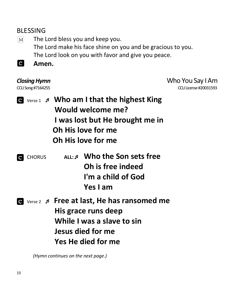#### BLESSING

The Lord bless you and keep you.  $|M|$ The Lord make his face shine on you and be gracious to you. The Lord look on you with favor and give you peace.

**C Amen.** 

*Closing Hymn Closing Hymn Closing Hymn* CCLI Song #7164255 CCLI License #20031593

- Verse 1 **Who am I that the highest King Would welcome me? I was lost but He brought me in Oh His love for me Oh His love for me**
- CHORUS **ALL: Who the Son sets free Oh is free indeed I'm a child of God Yes I am**
- Verse 2  **Free at last, He has ransomed me His grace runs deep While I was a slave to sin Jesus died for me Yes He died for me**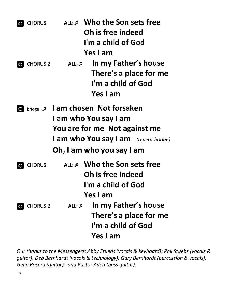|              | <b>CHORUS</b>             |                     | ALL: J Who the Son sets free                      |  |
|--------------|---------------------------|---------------------|---------------------------------------------------|--|
|              |                           |                     | Oh is free indeed                                 |  |
|              |                           |                     | I'm a child of God                                |  |
|              |                           |                     | Yes I am                                          |  |
|              | <b>CHORUS 2</b>           | ALL: J <sup>1</sup> | In my Father's house                              |  |
|              |                           |                     | There's a place for me                            |  |
|              |                           |                     | I'm a child of God                                |  |
|              |                           |                     | Yes I am                                          |  |
|              |                           |                     | <b>E</b> bridge <b>J</b> I am chosen Not forsaken |  |
|              |                           |                     | I am who You say I am                             |  |
|              |                           |                     | You are for me Not against me                     |  |
|              |                           |                     | <b>I am who You say I am</b> (repeat bridge)      |  |
|              | Oh, I am who you say I am |                     |                                                   |  |
| $\mathbf{C}$ | <b>CHORUS</b>             |                     | ALL: J Who the Son sets free                      |  |
|              |                           |                     | Oh is free indeed                                 |  |
|              |                           |                     | I'm a child of God                                |  |
|              |                           |                     | Yes I am                                          |  |
|              | <b>CHORUS 2</b>           | ALL: J <sup>1</sup> | In my Father's house                              |  |
|              |                           |                     | There's a place for me                            |  |
|              |                           |                     | I'm a child of God                                |  |
|              |                           |                     | Yes I am                                          |  |

*Our thanks to the Messengers: Abby Stuebs (vocals & keyboard); Phil Stuebs (vocals & guitar); Deb Bernhardt (vocals & technology); Gary Bernhardt (percussion & vocals); Gene Rosera (guitar); and Pastor Aden (bass guitar).*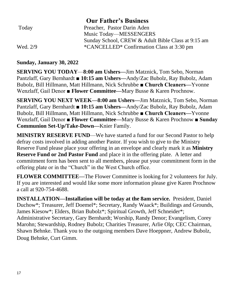|          | <b>Our Father's Business</b>                       |
|----------|----------------------------------------------------|
| Today    | Preacher, Pastor Darin Aden                        |
|          | Music Today—MESSENGERS                             |
|          | Sunday School, CREW & Adult Bible Class at 9:15 am |
| Wed. 2/9 | *CANCELLED* Confirmation Class at 3:30 pm          |

#### **Sunday, January 30, 2022**

**SERVING YOU TODAY**—**8:00 am Ushers—**Jim Matznick, Tom Sebo, Norman Pantzlaff, Gary Bernhardt ■ **10:15 am Ushers—**Andy/Zac Bubolz, Ray Bubolz, Adam Bubolz, Bill Hillmann, Matt Hillmann, Nick Schrubbe **■ Church Cleaners—**Yvonne Wenzlaff, Gail Denor ■ **Flower Committee—**Mary Busse & Karen Prochnow.

**SERVING YOU NEXT WEEK—8:00 am Ushers—**Jim Matznick, Tom Sebo, Norman Pantzlaff, Gary Bernhardt ■ **10:15 am Ushers—**Andy/Zac Bubolz, Ray Bubolz, Adam Bubolz, Bill Hillmann, Matt Hillmann, Nick Schrubbe **■ Church Cleaners—**Yvonne Wenzlaff, Gail Denor ■ **Flower Committee—**Mary Busse & Karen Prochnow **■ Sunday Communion Set-Up/Take-Down—**Knier Family.

**MINISTRY RESERVE FUND**—We have started a fund for our Second Pastor to help defray costs involved in adding another Pastor. If you wish to give to the Ministry Reserve Fund please place your offering in an envelope and clearly mark it as **Ministry Reserve Fund or 2nd Pastor Fund** and place it in the offering plate. A letter and commitment form has been sent to all members, please put your commitment form in the offering plate or in the "Church" in the West Church office.

**FLOWER COMMITTEE—**The Flower Committee is looking for 2 volunteers for July. If you are interested and would like some more information please give Karen Prochnow a call at 920-754-4688.

**INSTALLATION—Installation will be today at the 8am service.** President, Daniel Duchow\*; Treasurer, Jeff Doemel\*; Secretary, Randy Waack\*; Buildings and Grounds, James Kiesow\*; Elders, Brian Bubolz\*; Spiritual Growth, Jeff Schneider\*; Administrative Secretary, Gary Bernhardt; Worship, Randy Denor; Evangelism, Corey Marohn; Stewardship, Rodney Bubolz; Charities Treasurer, Arlie Olp; CEC Chairman, Shawn Behnke. Thank you to the outgoing members Dave Hoeppner, Andrew Bubolz, Doug Behnke, Curt Gimm.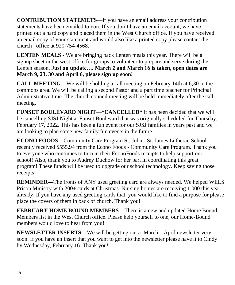**CONTRIBUTION STATEMETS**—If you have an email address your contribution statements have been emailed to you. If you don't have an email account, we have printed out a hard copy and placed them in the West Church office. If you have received an email copy of your statement and would also like a printed copy please contact the church office at 920-754-4568.

**LENTEN MEALS** - We are bringing back Lenten meals this year. There will be a signup sheet in the west office for groups to volunteer to prepare and serve during the Lenten season. **Just an update…. March 2 and March 16 is taken, open dates are March 9, 23, 30 and April 6, please sign up soon!** 

**CALL MEETING—**We will be holding a call meeting on February 14th at 6;30 in the commons area. We will be calling a second Pastor and a part time teacher for Principal Administrative time. The church council meeting will be held immediately after the call meeting.

**FUNSET BOULEVARD NIGHT**—**\*CANCELLED\*** It has been decided that we will be cancelling SJSJ Night at Funset Boulevard that was originally scheduled for Thursday, February 17, 2022. This has been a fun event for our SJSJ families in years past and we are looking to plan some new family fun events in the future.

**ECONO FOODS—**Community Care Program St. John - St. James Lutheran School recently received \$555.94 from the Econo Foods - Community Care Program. Thank you to everyone who continues to turn in their EconoFoods receipts to help support our school! Also, thank you to Audrey Duchow for her part in coordinating this great program! These funds will be used to upgrade our school technology. Keep saving those receipts!

**REMINDER—**The fronts of ANY used greeting card are always needed. We helped WELS Prison Ministry with 200+ cards at Christmas. Nursing homes are receiving 1,000 this year already. If you have any used greeting cards that you would like to find a purpose for please place the covers of them in back of church. Thank you!

**FEBRUARY HOME BOUND MEMBERS—**There is a new and updated Home Bound Members list in the West Church office. Please help yourself to one, our Home-Bound members would love to hear from you!

**NEWSLETTER INSERTS—**We will be getting out a March—April newsletter very soon. If you have an insert that you want to get into the newsletter please have it to Cindy by Wednesday, February 16. Thank you!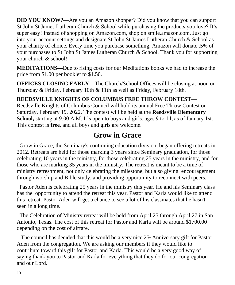**DID YOU KNOW?—**Are you an Amazon shopper? Did you know that you can support St John St James Lutheran Church & School while purchasing the products you love? It's super easy! Instead of shopping on Amazon.com, shop on smile.amazon.com. Just go into your account settings and designate St John St James Lutheran Church & School as your charity of choice. Every time you purchase something, Amazon will donate .5% of your purchases to St John St James Lutheran Church & School. Thank you for supporting your church & school!

**MEDITATIONS—**Due to rising costs for our Meditations books we had to increase the price from \$1.00 per booklet to \$1.50.

**OFFICES CLOSING EARLY—The Church/School Offices will be closing at noon on** Thursday & Friday, February 10th & 11th as well as Friday, February 18th.

#### **REEDSVILLE KNIGHTS OF COLUMBUS FREE THROW CONTEST—**

Reedsville Knights of Columbus Council will hold its annual Free Throw Contest on Saturday, February 19, 2022. The contest will be held at the **Reedsville Elementary School,** starting at 9:00 A.M. It's open to boys and girls, ages 9 to 14, as of January 1st. This contest is **free,** and all boys and girls are welcome.

## **Grow in Grace**

 Grow in Grace, the Seminary's continuing education division, began offering retreats in 2012. Retreats are held for those marking 3 years since Seminary graduation, for those celebrating 10 years in the ministry, for those celebrating 25 years in the ministry, and for those who are marking 35 years in the ministry. The retreat is meant to be a time of ministry refreshment, not only celebrating the milestone, but also giving encouragement through worship and Bible study, and providing opportunity to reconnect with peers.

 Pastor Aden is celebrating 25 years in the ministry this year. He and his Seminary class has the opportunity to attend the retreat this year. Pastor and Karla would like to attend this retreat. Pastor Aden will get a chance to see a lot of his classmates that he hasn't seen in a long time.

 The Celebration of Ministry retreat will be held from April 25 through April 27 in San Antonio, Texas. The cost of this retreat for Pastor and Karla will be around \$1700.00 depending on the cost of airfare.

The council has decided that this would be a very nice  $25^{\circ}$  Anniversary gift for Pastor Aden from the congregation. We are asking our members if they would like to contribute toward this gift for Pastor and Karla. This would be a very good way of saying thank you to Pastor and Karla for everything that they do for our congregation and our Lord.